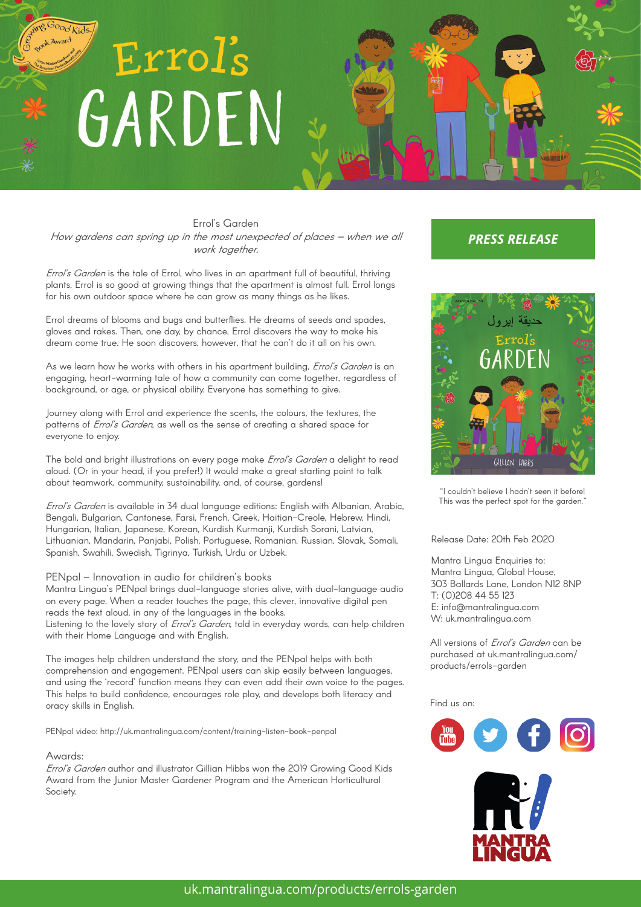# ing Good Kids. Errol's GARDEN

K Award

Errol's Garden How gardens can spring up in the most unexpected of places – when we all work together.

Errol's Garden is the tale of Errol, who lives in an apartment full of beautiful, thriving plants. Errol is so good at growing things that the apartment is almost full. Errol longs for his own outdoor space where he can grow as many things as he likes.

Errol dreams of blooms and bugs and butterflies. He dreams of seeds and spades, gloves and rakes. Then, one day, by chance, Errol discovers the way to make his dream come true. He soon discovers, however, that he can't do it all on his own.

As we learn how he works with others in his apartment building, *Errol's Garden* is an engaging, heart-warming tale of how a community can come together, regardless of background, or age, or physical ability. Everyone has something to give.

Journey along with Errol and experience the scents, the colours, the textures, the patterns of *Errol's Garden*, as well as the sense of creating a shared space for everyone to enjoy.

The bold and bright illustrations on every page make *Errol's Garden* a delight to read aloud. (Or in your head, if you prefer!) It would make a great starting point to talk about teamwork, community, sustainability, and, of course, gardens!

Errol's Garden is available in 34 dual language editions: English with Albanian, Arabic, Bengali, Bulgarian, Cantonese, Farsi, French, Greek, Haitian-Creole, Hebrew, Hindi, Hungarian, Italian, Japanese, Korean, Kurdish Kurmanji, Kurdish Sorani, Latvian, Lithuanian, Mandarin, Panjabi, Polish, Portuguese, Romanian, Russian, Slovak, Somali, Spanish, Swahili, Swedish, Tigrinya, Turkish, Urdu or Uzbek.

## PENpal – Innovation in audio for children's books

Mantra Lingua's PENpal brings dual-language stories alive, with dual-language audio on every page. When a reader touches the page, this clever, innovative digital pen reads the text aloud, in any of the languages in the books. Listening to the lovely story of *Errol's Garden*, told in everyday words, can help children

with their Home Language and with English.

The images help children understand the story, and the PENpal helps with both comprehension and engagement. PENpal users can skip easily between languages, and using the 'record' function means they can even add their own voice to the pages. This helps to build confidence, encourages role play, and develops both literacy and oracy skills in English.

PENpal video: http://uk.mantralingua.com/content/training-listen-book-penpal

#### Awards:

Errol's Garden author and illustrator Gillian Hibbs won the 2019 Growing Good Kids Award from the Junior Master Gardener Program and the American Horticultural Society.

## *PRESS RELEASE*



"I couldn't believe I hadn't seen it before! This was the perfect spot for the garden."

## Release Date: 20th Feb 2020

Mantra Lingua Enquiries to: Mantra Lingua, Global House, 303 Ballards Lane, London N12 8NP T: (0)208 44 55 123 E: info@mantralingua.com W: uk.mantralingua.com

All versions of *Errol's Garden* can be purchased at uk.mantralingua.com/ products/errols-garden

## Find us on: